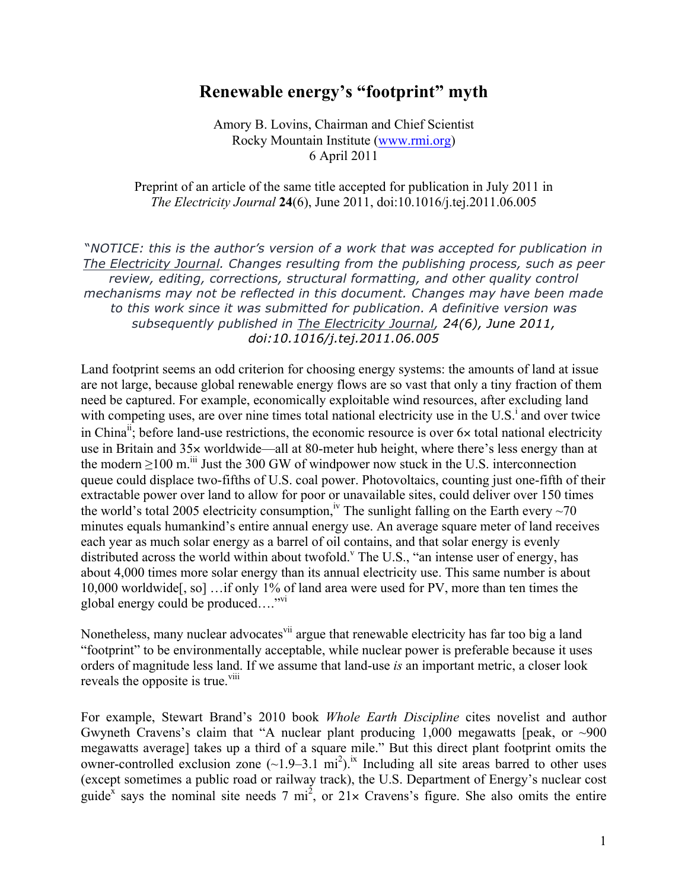## **Renewable energy's "footprint" myth**

Amory B. Lovins, Chairman and Chief Scientist Rocky Mountain Institute [\(www.rmi.org\)](http://rmi.org/rmi/) 6 April 2011

Preprint of an article of the same title accepted for publication in July 2011 in *The Electricity Journal* **24**(6), June 2011, doi:10.1016/j.tej.2011.06.005

"*NOTICE: this is the author's version of a work that was accepted for publication in The Electricity Journal. Changes resulting from the publishing process, such as peer review, editing, corrections, structural formatting, and other quality control mechanisms may not be reflected in this document. Changes may have been made to this work since it was submitted for publication. A definitive version was subsequently published in The Electricity Journal, 24(6), June 2011, doi:10.1016/j.tej.2011.06.005*

Land footprint seems an odd criterion for choosing energy systems: the amounts of land at issue are not large, because global renewable energy flows are so vast that only a tiny fraction of them need be captured. For example, economically exploitable wind resources, after excluding land with competing uses, are over nine times total national electricity use in the  $U.S.<sup>i</sup>$  and over twice in China<sup>n</sup>; before land-use restrictions, the economic resource is over  $6\times$  total national electricity use in Britain and 35× worldwide—all at 80-meter hub height, where there's less energy than at the modern  $>100$  m.<sup>iii</sup> Just the 300 GW of windpower now stuck in the U.S. interconnection queue could displace two-fifths of U.S. coal power. Photovoltaics, counting just one-fifth of their extractable power over land to allow for poor or unavailable sites, could deliver over 150 times the world's total 2005 electricity consumption,<sup>iv</sup> The sunlight falling on the Earth every ~70 minutes equals humankind's entire annual energy use. An average square meter of land receives each year as much solar energy as a barrel of oil contains, and that solar energy is evenly distributed across the world within about twofold.<sup>v</sup> The U.S., "an intense user of energy, has about 4,000 times more solar energy than its annual electricity use. This same number is about 10,000 worldwide[, so] …if only 1% of land area were used for PV, more than ten times the global energy could be produced…."vi

Nonetheless, many nuclear advocates <sup>vii</sup> argue that renewable electricity has far too big a land "footprint" to be environmentally acceptable, while nuclear power is preferable because it uses orders of magnitude less land. If we assume that land-use *is* an important metric, a closer look reveals the opposite is true.<sup>viii</sup>

For example, Stewart Brand's 2010 book *Whole Earth Discipline* cites novelist and author Gwyneth Cravens's claim that "A nuclear plant producing  $1,000$  megawatts [peak, or  $\sim 900$ megawatts average] takes up a third of a square mile." But this direct plant footprint omits the owner-controlled exclusion zone  $(-1.9-3.1 \text{ mi}^2)$ .<sup>ix</sup> Including all site areas barred to other uses (except sometimes a public road or railway track), the U.S. Department of Energy's nuclear cost guide<sup>x</sup> says the nominal site needs 7 mi<sup>2</sup>, or  $21 \times$  Cravens's figure. She also omits the entire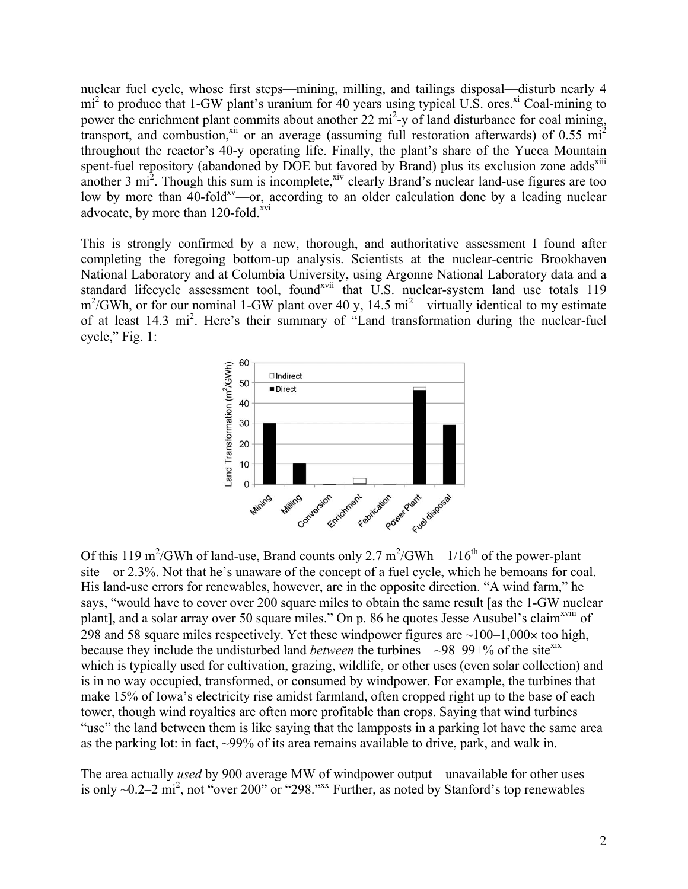nuclear fuel cycle, whose first steps—mining, milling, and tailings disposal—disturb nearly 4  $mi^2$  to produce that 1-GW plant's uranium for 40 years using typical U.S. ores.<sup>xi</sup> Coal-mining to power the enrichment plant commits about another 22 mi<sup>2</sup>-y of land disturbance for coal mining, transport, and combustion,<sup>xii</sup> or an average (assuming full restoration afterwards) of 0.55 mi<sup>2</sup> throughout the reactor's 40-y operating life. Finally, the plant's share of the Yucca Mountain spent-fuel repository (abandoned by DOE but favored by Brand) plus its exclusion zone adds<sup>xiii</sup> another  $3 \text{ mi}^2$ . Though this sum is incomplete,<sup>xiv</sup> clearly Brand's nuclear land-use figures are too low by more than  $40$ -fold<sup>xv</sup>—or, according to an older calculation done by a leading nuclear advocate, by more than  $120$ -fold.<sup>xvi</sup>

This is strongly confirmed by a new, thorough, and authoritative assessment I found after completing the foregoing bottom-up analysis. Scientists at the nuclear-centric Brookhaven National Laboratory and at Columbia University, using Argonne National Laboratory data and a standard lifecycle assessment tool, found<sup>xvii</sup> that U.S. nuclear-system land use totals 119  $m^2/GWh$ , or for our nominal 1-GW plant over 40 y, 14.5  $mi^2$ —virtually identical to my estimate of at least 14.3 mi<sup>2</sup>. Here's their summary of "Land transformation during the nuclear-fuel cycle," Fig. 1:



Of this 119 m<sup>2</sup>/GWh of land-use, Brand counts only 2.7 m<sup>2</sup>/GWh—1/16<sup>th</sup> of the power-plant site—or 2.3%. Not that he's unaware of the concept of a fuel cycle, which he bemoans for coal. His land-use errors for renewables, however, are in the opposite direction. "A wind farm," he says, "would have to cover over 200 square miles to obtain the same result [as the 1-GW nuclear plant], and a solar array over 50 square miles." On p. 86 he quotes Jesse Ausubel's claim<sup>xviii</sup> of 298 and 58 square miles respectively. Yet these windpower figures are  $\sim$ 100–1,000 $\times$  too high, because they include the undisturbed land *between* the turbines—~98–99+% of the site<sup>xix</sup> which is typically used for cultivation, grazing, wildlife, or other uses (even solar collection) and is in no way occupied, transformed, or consumed by windpower. For example, the turbines that make 15% of Iowa's electricity rise amidst farmland, often cropped right up to the base of each tower, though wind royalties are often more profitable than crops. Saying that wind turbines "use" the land between them is like saying that the lampposts in a parking lot have the same area as the parking lot: in fact, ~99% of its area remains available to drive, park, and walk in.

The area actually *used* by 900 average MW of windpower output—unavailable for other uses is only  $\sim$ 0.2–2 mi<sup>2</sup>, not "over 200" or "298."<sup>xx</sup> Further, as noted by Stanford's top renewables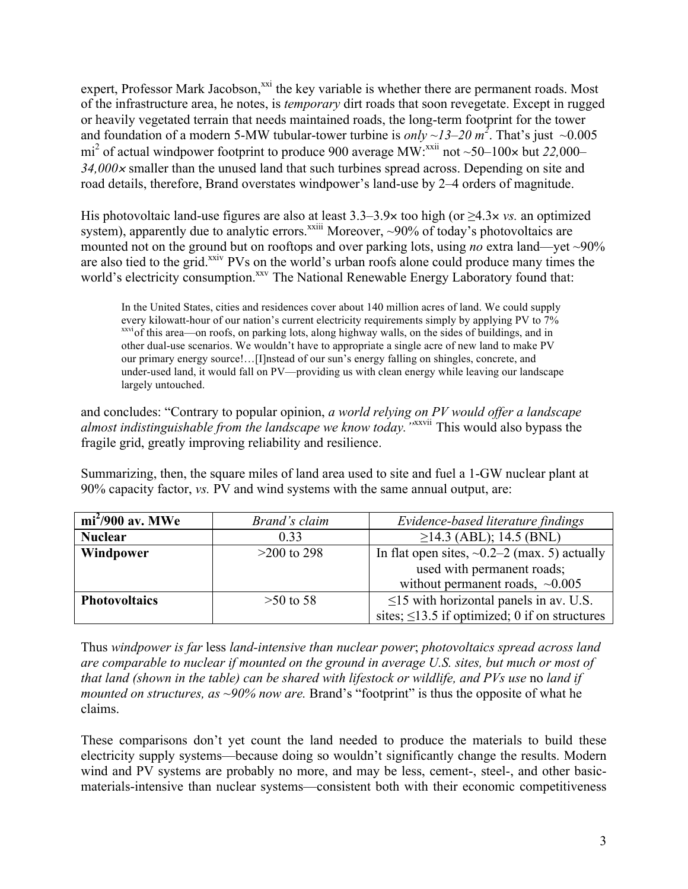expert, Professor Mark Jacobson,<sup>xxi</sup> the key variable is whether there are permanent roads. Most of the infrastructure area, he notes, is *temporary* dirt roads that soon revegetate. Except in rugged or heavily vegetated terrain that needs maintained roads, the long-term footprint for the tower and foundation of a modern 5-MW tubular-tower turbine is *only* ~13–20  $m^2$ . That's just ~0.005 mi<sup>2</sup> of actual windpower footprint to produce 900 average MW:<sup>xxii</sup> not ~50–100× but 22,000– *34,000*<sup>×</sup> smaller than the unused land that such turbines spread across. Depending on site and road details, therefore, Brand overstates windpower's land-use by 2–4 orders of magnitude.

His photovoltaic land-use figures are also at least 3.3–3.9× too high (or ≥4.3× *vs.* an optimized system), apparently due to analytic errors.<sup> $x$ xiii</sup> Moreover, ~90% of today's photovoltaics are mounted not on the ground but on rooftops and over parking lots, using *no* extra land—yet ~90% are also tied to the grid.<sup>xxiv</sup> PVs on the world's urban roofs alone could produce many times the world's electricity consumption.<sup>xxv</sup> The National Renewable Energy Laboratory found that:

In the United States, cities and residences cover about 140 million acres of land. We could supply every kilowatt-hour of our nation's current electricity requirements simply by applying PV to 7% xxviof this area—on roofs, on parking lots, along highway walls, on the sides of buildings, and in other dual-use scenarios. We wouldn't have to appropriate a single acre of new land to make PV our primary energy source!…[I]nstead of our sun's energy falling on shingles, concrete, and under-used land, it would fall on PV—providing us with clean energy while leaving our landscape largely untouched.

and concludes: "Contrary to popular opinion, *a world relying on PV would offer a landscape almost indistinguishable from the landscape we know today."*xxvii This would also bypass the fragile grid, greatly improving reliability and resilience.

Summarizing, then, the square miles of land area used to site and fuel a 1-GW nuclear plant at 90% capacity factor, *vs.* PV and wind systems with the same annual output, are:

| $mi^2/900$ av. MWe   | Brand's claim | Evidence-based literature findings                  |
|----------------------|---------------|-----------------------------------------------------|
| <b>Nuclear</b>       | 0.33          | $\geq$ 14.3 (ABL); 14.5 (BNL)                       |
| Windpower            | $>200$ to 298 | In flat open sites, $\sim 0.2-2$ (max. 5) actually  |
|                      |               | used with permanent roads;                          |
|                      |               | without permanent roads, $\sim 0.005$               |
| <b>Photovoltaics</b> | $>50$ to 58   | $\leq$ 15 with horizontal panels in av. U.S.        |
|                      |               | sites; $\leq$ 13.5 if optimized; 0 if on structures |

Thus *windpower is far* less *land-intensive than nuclear power*; *photovoltaics spread across land are comparable to nuclear if mounted on the ground in average U.S. sites, but much or most of that land (shown in the table) can be shared with lifestock or wildlife, and PVs use no land if mounted on structures, as ~90% now are.* Brand's "footprint" is thus the opposite of what he claims.

These comparisons don't yet count the land needed to produce the materials to build these electricity supply systems—because doing so wouldn't significantly change the results. Modern wind and PV systems are probably no more, and may be less, cement-, steel-, and other basicmaterials-intensive than nuclear systems—consistent both with their economic competitiveness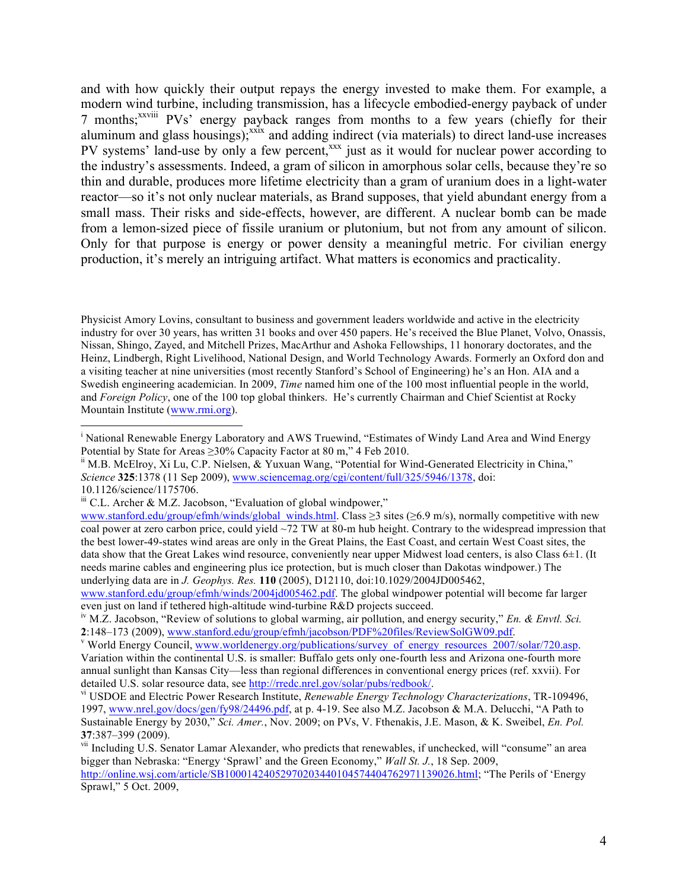and with how quickly their output repays the energy invested to make them. For example, a modern wind turbine, including transmission, has a lifecycle embodied-energy payback of under 7 months;<sup>xxviii</sup> PVs' energy payback ranges from months to a few years (chiefly for their aluminum and glass housings);<sup>xxix</sup> and adding indirect (via materials) to direct land-use increases PV systems' land-use by only a few percent,<sup>xxx</sup> just as it would for nuclear power according to the industry's assessments. Indeed, a gram of silicon in amorphous solar cells, because they're so thin and durable, produces more lifetime electricity than a gram of uranium does in a light-water reactor—so it's not only nuclear materials, as Brand supposes, that yield abundant energy from a small mass. Their risks and side-effects, however, are different. A nuclear bomb can be made from a lemon-sized piece of fissile uranium or plutonium, but not from any amount of silicon. Only for that purpose is energy or power density a meaningful metric. For civilian energy production, it's merely an intriguing artifact. What matters is economics and practicality.

Physicist Amory Lovins, consultant to business and government leaders worldwide and active in the electricity industry for over 30 years, has written 31 books and over 450 papers. He's received the Blue Planet, Volvo, Onassis, Nissan, Shingo, Zayed, and Mitchell Prizes, MacArthur and Ashoka Fellowships, 11 honorary doctorates, and the Heinz, Lindbergh, Right Livelihood, National Design, and World Technology Awards. Formerly an Oxford don and a visiting teacher at nine universities (most recently Stanford's School of Engineering) he's an Hon. AIA and a Swedish engineering academician. In 2009, *Time* named him one of the 100 most influential people in the world, and *Foreign Policy*, one of the 100 top global thinkers. He's currently Chairman and Chief Scientist at Rocky Mountain Institute [\(www.rmi.org\).](http://rmi.org/rmi/) 

10.1126/science/1175706.

<sup>|&</sup>lt;br>i <sup>i</sup> National Renewable Energy Laboratory and AWS Truewind, "Estimates of Windy Land Area and Wind Energy Potential by State for Areas ≥30% Capacity Factor at 80 m," 4 Feb 2010.<br><sup>ii</sup> M.B. McElroy, Xi Lu, C.P. Nielsen, & Yuxuan Wang, "Potential for Wind-Generated Electricity in China,"

*Science* **325**:1378 (11 Sep 2009), [www.sciencemag.org/cgi/content/full/325/5946/1378,](www.sciencemag.org/cgi/content/full/325/5946/1378) doi:

 $\ddot{h}$  C.L. Archer & M.Z. Jacobson, "Evaluation of global windpower,"

[www.stanford.edu/group/efmh/winds/global\\_winds.html.](www.stanford.edu/group/efmh/winds/global_winds.html) Class ≥3 sites (≥6.9 m/s), normally competitive with new coal power at zero carbon price, could yield  $\sim$ 72 TW at 80-m hub height. Contrary to the widespread impression that the best lower-49-states wind areas are only in the Great Plains, the East Coast, and certain West Coast sites, the data show that the Great Lakes wind resource, conveniently near upper Midwest load centers, is also Class 6±1. (It needs marine cables and engineering plus ice protection, but is much closer than Dakotas windpower.) The underlying data are in *J. Geophys. Res.* **110** (2005), D12110, doi:10.1029/2004JD005462,

[www.stanford.edu/group/efmh/winds/2004jd005462.pdf.](www.stanford.edu/group/efmh/winds/2004jd005462.pdf) The global windpower potential will become far larger even just on land if tethered high-altitude wind-turbine R&D projects succeed.

iv M.Z. Jacobson, "Review of solutions to global warming, air pollution, and energy security," *En. & Envtl. Sci.*  2<sup>:148–173 (2009), [www.stanford.edu/group/efmh/jacobson/PDF%20files/ReviewSolGW09.pdf.](www.stanford.edu/group/efmh/jacobson/PDF%20files/ReviewSolGW09.pdf)<br><sup>v</sup> World Energy Council, [www.worldenergy.org/publications/survey\\_of\\_energy\\_resources\\_2007/solar/720.asp.](www.worldenergy.org/publications/survey_of_energy_resources_2007/solar/720.asp)</sup>

Variation within the continental U.S. is smaller: Buffalo gets only one-fourth less and Arizona one-fourth more annual sunlight than Kansas City—less than regional differences in conventional energy prices (ref. xxvii). For detailed U.S. solar resource data, se[e http://rredc.nrel.gov/solar/pubs/redbook/.](http://rredc.nrel.gov/solar/pubs/redbook/)<br><sup>vi</sup> USDOE and Electric Power Research Institute, *Renewable Energy Technology Characterizations*, TR-109496,

<sup>1997</sup>[, www.nrel.gov/docs/gen/fy98/24496.pdf,](www.nrel.gov/docs/gen/fy98/24496.pdf) at p. 4-19. See also M.Z. Jacobson & M.A. Delucchi, "A Path to Sustainable Energy by 2030," *Sci. Amer.*, Nov. 2009; on PVs, V. Fthenakis, J.E. Mason, & K. Sweibel, *En. Pol.*  **37**:387–399 (2009).

vii Including U.S. Senator Lamar Alexander, who predicts that renewables, if unchecked, will "consume" an area bigger than Nebraska: "Energy 'Sprawl' and the Green Economy," *Wall St. J.*, 18 Sep. 2009,

[http://online.wsj.com/article/SB10001424052970203440104574404762971139026.html; "](http://online.wsj.com/article/SB10001424052970203440104574404762971139026.html)The Perils of 'Energy Sprawl," 5 Oct. 2009,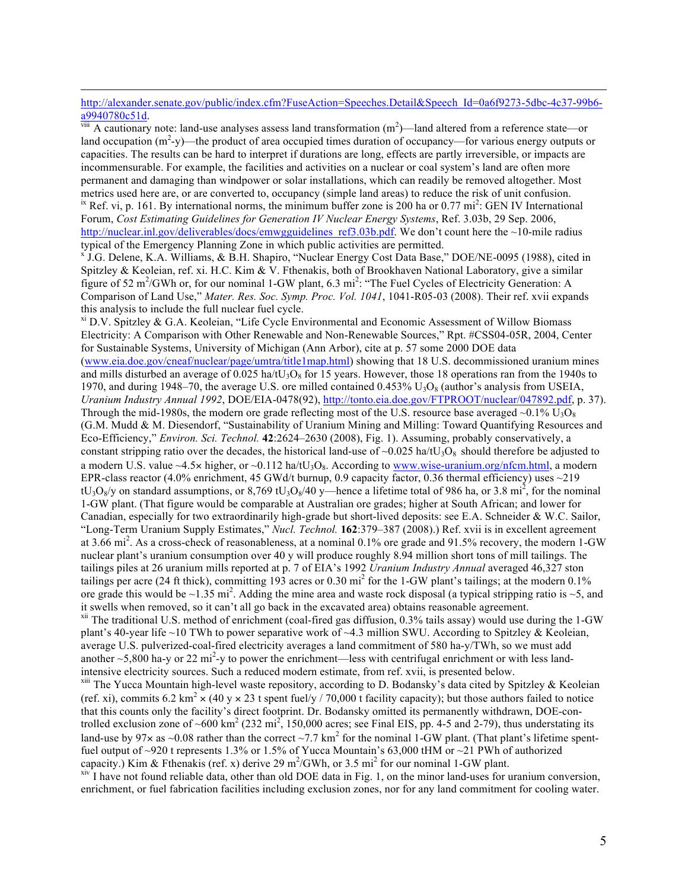## http://alexander.senate.gov/public/index.cfm?FuseAction=Speeches.Detail&Speech\_Id=0a6f9273-5dbc-4c37-99b6-<br>a9940780c51d. a9940780c51d.<br><sup>viii</sup> A cautionary note: land-use analyses assess land transformation (m<sup>2</sup>)—land altered from a reference state—or

land occupation  $(m^2-y)$ —the product of area occupied times duration of occupancy—for various energy outputs or capacities. The results can be hard to interpret if durations are long, effects are partly irreversible, or impacts are incommensurable. For example, the facilities and activities on a nuclear or coal system's land are often more permanent and damaging than windpower or solar installations, which can readily be removed altogether. Most metrics used here are, or are converted to, occupancy (simple land areas) to reduce the risk of unit confusion. <sup>ix</sup> Ref. vi, p. 161. By international norms, the minimum buffer zone is 200 ha or 0.77 mi<sup>2</sup>: GEN IV International Forum, *Cost Estimating Guidelines for Generation IV Nuclear Energy Systems*, Ref. 3.03b, 29 Sep. 2006, [http://nuclear.inl.gov/deliverables/docs/emwgguidelines\\_ref3.03b.pdf.](http://nuclear.inl.gov/deliverables/docs/emwgguidelines_ref3.03b.pdf) We don't count here the ~10-mile radius typical of the Emergency Planning Zone in which public activities are permitted.

<sup>x</sup> J.G. Delene, K.A. Williams, & B.H. Shapiro, "Nuclear Energy Cost Data Base," DOE/NE-0095 (1988), cited in Spitzley & Keoleian, ref. xi. H.C. Kim & V. Fthenakis, both of Brookhaven National Laboratory, give a similar figure of 52 m<sup>2</sup>/GWh or, for our nominal 1-GW plant, 6.3 mi<sup>2</sup>: "The Fuel Cycles of Electricity Generation: A Comparison of Land Use," *Mater. Res. Soc. Symp. Proc. Vol. 1041*, 1041-R05-03 (2008). Their ref. xvii expands this analysis to include the full nuclear fuel cycle.<br> $x^i$  D.V. Spitzley & G.A. Keoleian, "Life Cycle Environmental and Economic Assessment of Willow Biomass

Electricity: A Comparison with Other Renewable and Non-Renewable Sources," Rpt. #CSS04-05R, 2004, Center for Sustainable Systems, University of Michigan (Ann Arbor), cite at p. 57 some 2000 DOE data [\(www.eia.doe.gov/cneaf/nuclear/page/umtra/title1map.html\)](www.eia.doe.gov/cneaf/nuclear/page/umtra/title1map.html) showing that 18 U.S. decommissioned uranium mines and mills disturbed an average of 0.025 ha/tU<sub>3</sub>O<sub>8</sub> for 15 years. However, those 18 operations ran from the 1940s to 1970, and during 1948–70, the average U.S. ore milled contained  $0.453\%$  U<sub>3</sub>O<sub>8</sub> (author's analysis from USEIA, *Uranium Industry Annual 1992*, DOE/EIA-0478(92)[, http://tonto.eia.doe.gov/FTPROOT/nuclear/047892.pdf, p](http://tonto.eia.doe.gov/FTPROOT/nuclear/047892.pdf). 37). Through the mid-1980s, the modern ore grade reflecting most of the U.S. resource base averaged ~0.1%  $U_3O_8$ (G.M. Mudd & M. Diesendorf, "Sustainability of Uranium Mining and Milling: Toward Quantifying Resources and Eco-Efficiency," *Environ. Sci. Technol.* **42**:2624–2630 (2008), Fig. 1). Assuming, probably conservatively, a constant stripping ratio over the decades, the historical land-use of  $\sim 0.025$  ha/tU<sub>3</sub>O<sub>8</sub> should therefore be adjusted to a modern U.S. value  $\sim$ 4.5× higher, or  $\sim$ 0.112 ha/tU<sub>3</sub>O<sub>8</sub>. According to [www.wise-uranium.org/nfcm.html,](www.wise-uranium.org/nfcm.html) a modern EPR-class reactor (4.0% enrichment, 45 GWd/t burnup, 0.9 capacity factor, 0.36 thermal efficiency) uses  $\sim$ 219  $tU_3O_8$ /y on standard assumptions, or 8,769 t $U_3O_8/40$  y—hence a lifetime total of 986 ha, or 3.8 mi<sup>2</sup>, for the nominal 1-GW plant. (That figure would be comparable at Australian ore grades; higher at South African; and lower for Canadian, especially for two extraordinarily high-grade but short-lived deposits: see E.A. Schneider & W.C. Sailor, "Long-Term Uranium Supply Estimates," *Nucl. Technol.* **162**:379–387 (2008).) Ref. xvii is in excellent agreement at 3.66 mi<sup>2</sup>. As a cross-check of reasonableness, at a nominal 0.1% ore grade and 91.5% recovery, the modern 1-GW nuclear plant's uranium consumption over 40 y will produce roughly 8.94 million short tons of mill tailings. The tailings piles at 26 uranium mills reported at p. 7 of EIA's 1992 *Uranium Industry Annual* averaged 46,327 ston tailings per acre (24 ft thick), committing 193 acres or 0.30 mi<sup>2</sup> for the 1-GW plant's tailings; at the modern 0.1% ore grade this would be  $\sim$ 1.35 mi<sup>2</sup>. Adding the mine area and waste rock disposal (a typical stripping ratio is  $\sim$ 5, and it swells when removed, so it can't all go back in the excavated area) obtains reasonable agreement.

 $x$ <sup>xii</sup> The traditional U.S. method of enrichment (coal-fired gas diffusion, 0.3% tails assay) would use during the 1-GW plant's 40-year life ~10 TWh to power separative work of ~4.3 million SWU. According to Spitzley & Keoleian, average U.S. pulverized-coal-fired electricity averages a land commitment of 580 ha-y/TWh, so we must add another  $\sim$  5,800 ha-y or 22 mi<sup>2</sup>-y to power the enrichment—less with centrifugal enrichment or with less landintensive electricity sources. Such a reduced modern estimate, from ref. xvii, is presented below.<br><sup>xiii</sup> The Yucca Mountain high-level waste repository, according to D. Bodansky's data cited by Spitzley & Keoleian

(ref. xi), commits 6.2 km<sup>2</sup>  $\times$  (40 y  $\times$  23 t spent fuel/y / 70,000 t facility capacity); but those authors failed to notice that this counts only the facility's direct footprint. Dr. Bodansky omitted its permanently withdrawn, DOE-controlled exclusion zone of ~600 km<sup>2</sup> (232 mi<sup>2</sup>, 150,000 acres; see Final EIS, pp. 4-5 and 2-79), thus understating its land-use by 97 $\times$  as ~0.08 rather than the correct ~7.7 km<sup>2</sup> for the nominal 1-GW plant. (That plant's lifetime spentfuel output of ~920 t represents 1.3% or 1.5% of Yucca Mountain's 63,000 tHM or ~21 PWh of authorized capacity.) Kim & Fthenakis (ref. x) derive 29 m<sup>2</sup>/GWh, or 3.5 mi<sup>2</sup> for our nominal 1-GW plant.

 $x^{\text{inv}}$  I have not found reliable data, other than old DOE data in Fig. 1, on the minor land-uses for uranium conversion, enrichment, or fuel fabrication facilities including exclusion zones, nor for any land commitment for cooling water.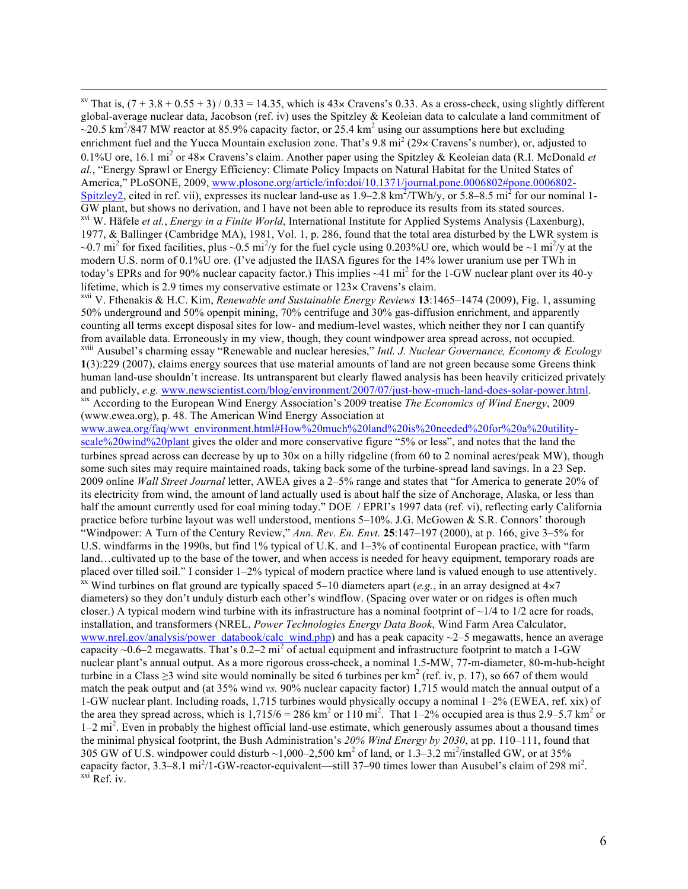<sup>xv</sup> That is,  $(7 + 3.8 + 0.55 + 3) / 0.33 = 14.35$ , which is  $43 \times$  Cravens's 0.33. As a cross-check, using slightly different global-average nuclear data, Jacobson (ref. iv) uses the Spitzley & Keoleian data to calculate a land commitment of  $\approx$ 20.5 km<sup>2</sup>/847 MW reactor at 85.9% capacity factor, or 25.4 km<sup>2</sup> using our assumptions here but excluding enrichment fuel and the Yucca Mountain exclusion zone. That's 9.8 mi<sup>2</sup> (29 $\times$  Cravens's number), or, adjusted to 0.1%U ore, 16.1 mi<sup>2</sup> or 48× Cravens's claim. Another paper using the Spitzley & Keoleian data (R.I. McDonald *et al.*, "Energy Sprawl or Energy Efficiency: Climate Policy Impacts on Natural Habitat for the United States of America," PLoSONE, 2009, [www.plosone.org/article/info:doi/10.1371/journal.pone.0006802#pone.0006802-](www.plosone.org/article/info:doi/10.1371/journal.pone.0006802#pone.0006802-Spitzley2) [Spitzley2, c](www.plosone.org/article/info:doi/10.1371/journal.pone.0006802#pone.0006802-Spitzley2)ited in ref. vii), expresses its nuclear land-use as  $1.9-2.8 \text{ km}^2/\text{TWh/y}$ , or 5.8–8.5 mi<sup>2</sup> for our nominal 1-GW plant, but shows no derivation, and I have not been able to reproduce its results from its stated sources. xvi W. Häfele *et al.*, *Energy in a Finite World*, International Institute for Applied Systems Analysis (Laxenburg), 1977, & Ballinger (Cambridge MA), 1981, Vol. 1, p. 286, found that the total area disturbed by the LWR system is ~0.7 mi<sup>2</sup> for fixed facilities, plus ~0.5 mi<sup>2</sup>/y for the fuel cycle using 0.203%U ore, which would be ~1 mi<sup>2</sup>/y at the modern U.S. norm of 0.1%U ore. (I've adjusted the IIASA figures for the 14% lower uranium use per TWh in today's EPRs and for 90% nuclear capacity factor.) This implies ~41 mi<sup>2</sup> for the 1-GW nuclear plant over its 40-y lifetime, which is 2.9 times my conservative estimate or 123× Cravens's claim.

xvii V. Fthenakis & H.C. Kim, *Renewable and Sustainable Energy Reviews* **13**:1465–1474 (2009), Fig. 1, assuming 50% underground and 50% openpit mining, 70% centrifuge and 30% gas-diffusion enrichment, and apparently counting all terms except disposal sites for low- and medium-level wastes, which neither they nor I can quantify from available data. Erroneously in my view, though, they count windpower area spread across, not occupied. xviii Ausubel's charming essay "Renewable and nuclear heresies," *Intl. J. Nuclear Governance, Economy & Ecology*  **1**(3):229 (2007), claims energy sources that use material amounts of land are not green because some Greens think human land-use shouldn't increase. Its untransparent but clearly flawed analysis has been heavily criticized privately and publicly, e.g. www.newscientist.com/blog/environment/2007/07/just-how-much-land-does-solar-power.ht xix According to the European Wind Energy Association's 2009 treatise The Economics of Wind Energy, 2009 (www.ewea.org), p. 48. The American Wind Energy Association at

[www.awea.org/faq/wwt\\_environment.html#How%20much%20land%20is%20needed%20for%20a%20utility](www.awea.org/faq/wwt_environment.html#How%20much%20land%20is%20needed%20for%20a%20utility-scale%20wind%20plant)[scale%20wind%20plant](www.awea.org/faq/wwt_environment.html#How%20much%20land%20is%20needed%20for%20a%20utility-scale%20wind%20plant) gives the older and more conservative figure "5% or less", and notes that the land the turbines spread across can decrease by up to  $30 \times$  on a hilly ridgeline (from 60 to 2 nominal acres/peak MW), though some such sites may require maintained roads, taking back some of the turbine-spread land savings. In a 23 Sep. 2009 online *Wall Street Journal* letter, AWEA gives a 2–5% range and states that "for America to generate 20% of its electricity from wind, the amount of land actually used is about half the size of Anchorage, Alaska, or less than half the amount currently used for coal mining today." DOE / EPRI's 1997 data (ref. vi), reflecting early California practice before turbine layout was well understood, mentions 5–10%. J.G. McGowen & S.R. Connors' thorough "Windpower: A Turn of the Century Review," *Ann. Rev. En. Envt.* **25**:147–197 (2000), at p. 166, give 3–5% for U.S. windfarms in the 1990s, but find 1% typical of U.K. and 1–3% of continental European practice, with "farm land…cultivated up to the base of the tower, and when access is needed for heavy equipment, temporary roads are placed over tilled soil." I consider 1–2% typical of modern practice where land is valued enough to use attentively. <sup>xx</sup> Wind turbines on flat ground are typically spaced 5–10 diameters apart (*e.g.*, in an array designed at  $4 \times 7$ diameters) so they don't unduly disturb each other's windflow. (Spacing over water or on ridges is often much closer.) A typical modern wind turbine with its infrastructure has a nominal footprint of  $\sim$ 1/4 to 1/2 acre for roads, installation, and transformers (NREL, *Power Technologies Energy Data Book*, Wind Farm Area Calculator, [www.nrel.gov/analysis/power\\_databook/calc\\_wind.php\)](www.nrel.gov/analysis/power_databook/calc_wind.php) and has a peak capacity  $\sim$  2–5 megawatts, hence an average capacity  $\sim$ 0.6–2 megawatts. That's 0.2–2 mi<sup>2</sup> of actual equipment and infrastructure footprint to match a 1-GW nuclear plant's annual output. As a more rigorous cross-check, a nominal 1.5-MW, 77-m-diameter, 80-m-hub-height turbine in a Class  $\geq$ 3 wind site would nominally be sited 6 turbines per km<sup>2</sup> (ref. iv, p. 17), so 667 of them would match the peak output and (at 35% wind *vs.* 90% nuclear capacity factor) 1,715 would match the annual output of a 1-GW nuclear plant. Including roads, 1,715 turbines would physically occupy a nominal 1–2% (EWEA, ref. xix) of the area they spread across, which is  $1,715/6 = 286 \text{ km}^2$  or  $110 \text{ mi}^2$ . That  $1-2\%$  occupied area is thus 2.9–5.7 km<sup>2</sup> or 1–2 mi<sup>2</sup>. Even in probably the highest official land-use estimate, which generously assumes about a thousand times the minimal physical footprint, the Bush Administration's *20% Wind Energy by 2030*, at pp. 110–111, found that 305 GW of U.S. windpower could disturb ~1,000–2,500 km<sup>2</sup> of land, or 1.3–3.2 mi<sup>2</sup>/installed GW, or at 35% capacity factor, 3.3–8.1 mi<sup>2</sup>/1-GW-reactor-equivalent—still 37–90 times lower than Ausubel's claim of 298 mi<sup>2</sup>.<br><sup>xxi</sup> Ref. iv.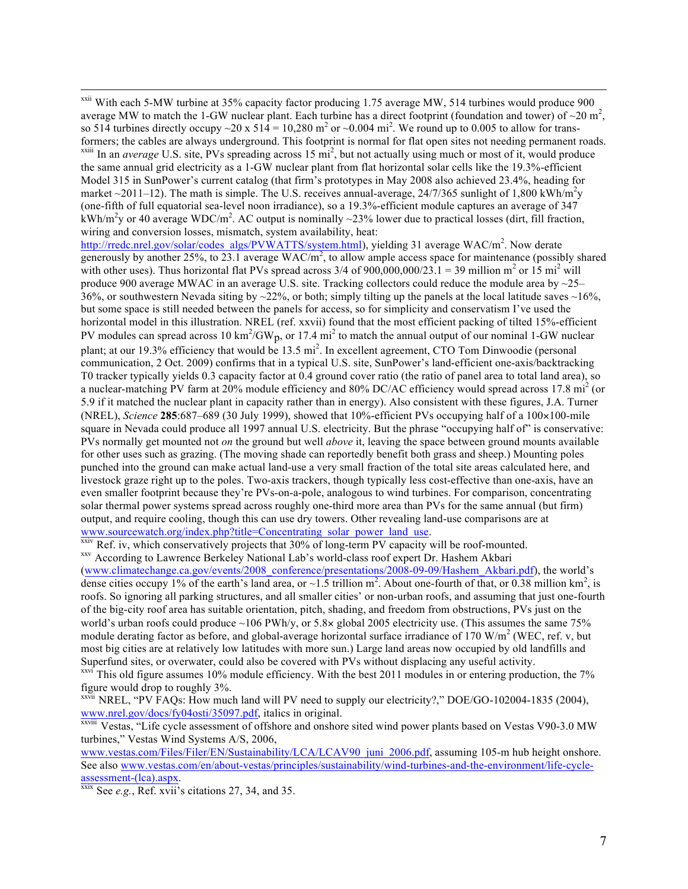<sup>xxii</sup> With each 5-MW turbine at 35% capacity factor producing 1.75 average MW, 514 turbines would produce 900 average MW to match the 1-GW nuclear plant. Each turbine has a direct footprint (foundation and tower) of  $\sim$ 20 m<sup>2</sup>, so 514 turbines directly occupy  $\sim$  20 x 514 = 10,280 m<sup>2</sup> or  $\sim$  0.004 mi<sup>2</sup>. We round up to 0.005 to allow for transformers; the cables are always underground. This footprint is normal for flat open sites not needing permanent roads.  $x^2$ <sup>xxiii</sup> In an *average* U.S. site, PVs spreading across 15 mi<sup>2</sup>, but not actually using much or most of it, would produce the same annual grid electricity as a 1-GW nuclear plant from flat horizontal solar cells like the 19.3%-efficient Model 315 in SunPower's current catalog (that firm's prototypes in May 2008 also achieved 23.4%, heading for market ~2011–12). The math is simple. The U.S. receives annual-average, 24/7/365 sunlight of 1,800 kWh/m<sup>2</sup>y (one-fifth of full equatorial sea-level noon irradiance), so a 19.3%-efficient module captures an average of 347 kWh/m<sup>2</sup>y or 40 average WDC/m<sup>2</sup>. AC output is nominally ~23% lower due to practical losses (dirt, fill fraction, wiring and conversion losses, mismatch, system availability, heat:

[http://rredc.nrel.gov/solar/codes\\_algs/PVWATTS/system.html\),](http://rredc.nrel.gov/solar/codes_algs/PVWATTS/system.html) yielding 31 average WAC/m<sup>2</sup>. Now derate generously by another 25%, to  $23.1$  average WAC/m<sup>2</sup>, to allow ample access space for maintenance (possibly shared with other uses). Thus horizontal flat PVs spread across  $3/4$  of  $900,000,000/23.1 = 39$  million m<sup>2</sup> or 15 mi<sup>2</sup> will produce 900 average MWAC in an average U.S. site. Tracking collectors could reduce the module area by  $\sim$ 25– 36%, or southwestern Nevada siting by  $\sim$ 22%, or both; simply tilting up the panels at the local latitude saves  $\sim$ 16%, but some space is still needed between the panels for access, so for simplicity and conservatism I've used the horizontal model in this illustration. NREL (ref. xxvii) found that the most efficient packing of tilted 15%-efficient PV modules can spread across 10 km<sup>2</sup>/GW<sub>p</sub>, or 17.4 mi<sup>2</sup> to match the annual output of our nominal 1-GW nuclear plant; at our 19.3% efficiency that would be 13.5 mi<sup>2</sup>. In excellent agreement, CTO Tom Dinwoodie (personal communication, 2 Oct. 2009) confirms that in a typical U.S. site, SunPower's land-efficient one-axis/backtracking T0 tracker typically yields 0.3 capacity factor at 0.4 ground cover ratio (the ratio of panel area to total land area), so a nuclear-matching PV farm at 20% module efficiency and 80% DC/AC efficiency would spread across 17.8 mi<sup>2</sup> (or 5.9 if it matched the nuclear plant in capacity rather than in energy). Also consistent with these figures, J.A. Turner (NREL), *Science* **285**:687–689 (30 July 1999), showed that 10%-efficient PVs occupying half of a 100×100-mile square in Nevada could produce all 1997 annual U.S. electricity. But the phrase "occupying half of" is conservative: PVs normally get mounted not *on* the ground but well *above* it, leaving the space between ground mounts available for other uses such as grazing. (The moving shade can reportedly benefit both grass and sheep.) Mounting poles punched into the ground can make actual land-use a very small fraction of the total site areas calculated here, and livestock graze right up to the poles. Two-axis trackers, though typically less cost-effective than one-axis, have an even smaller footprint because they're PVs-on-a-pole, analogous to wind turbines. For comparison, concentrating solar thermal power systems spread across roughly one-third more area than PVs for the same annual (but firm) output, and require cooling, though this can use dry towers. Other revealing land-use comparisons are at www.sourcewatch.org/index.php?title=Concentrating solar power land use.

XXIV Ref. iv, which conservatively projects that 30% of long-term PV capacity will be roof-mounted.<br>XXV According to Lawrence Berkeley National Lab's world-class roof expert Dr. Hashem Akbari

[\(www.climatechange.ca.gov/events/2008\\_conference/presentations/2008-09-09/Hashem\\_Akbari.pdf\),](www.climatechange.ca.gov/events/2008_conference/presentations/2008-09-09/Hashem_Akbari.pdf) the world's dense cities occupy 1% of the earth's land area, or  $\sim$ 1.5 trillion m<sup>2</sup>. About one-fourth of that, or 0.38 million km<sup>2</sup>, is roofs. So ignoring all parking structures, and all smaller cities' or non-urban roofs, and assuming that just one-fourth of the big-city roof area has suitable orientation, pitch, shading, and freedom from obstructions, PVs just on the world's urban roofs could produce ~106 PWh/y, or 5.8× global 2005 electricity use. (This assumes the same 75% module derating factor as before, and global-average horizontal surface irradiance of  $170 \text{ W/m}^2$  (WEC, ref. v, but most big cities are at relatively low latitudes with more sun.) Large land areas now occupied by old landfills and Superfund sites, or overwater, could also be covered with PVs without displacing any useful activity.

 $\frac{x}{x}$  This old figure assumes 10% module efficiency. With the best 2011 modules in or entering production, the 7% figure would drop to roughly 3%.

xxvii NREL, "PV FAQs: How much land will PV need to supply our electricity?," DOE/GO-102004-1835 (2004), [www.nrel.gov/docs/fy04osti/35097.pdf,](www.nrel.gov/docs/fy04osti/35097.pdf) italics in original.

xxviii Vestas, "Life cycle assessment of offshore and onshore sited wind power plants based on Vestas V90-3.0 MW turbines," Vestas Wind Systems A/S, 2006,

[www.vestas.com/Files/Filer/EN/Sustainability/LCA/LCAV90\\_juni\\_2006.pdf,](www.vestas.com/Files/Filer/EN/Sustainability/LCA/LCAV90_juni_2006.pdf) assuming 105-m hub height onshore. [See also www.vestas.com/en/about-vestas/principles/sustainability/wind-turbines-and-the-environment/life-cycle](www.vestas.com/en/about-vestas/principles/sustainability/wind-turbines-and-the-environment/life-cycle-assessment-(lca).aspx)assessment-(lca).aspx.<br><sup>xxix</sup> See *e.g.*, Ref. xvii's citations 27, 34, and 35.